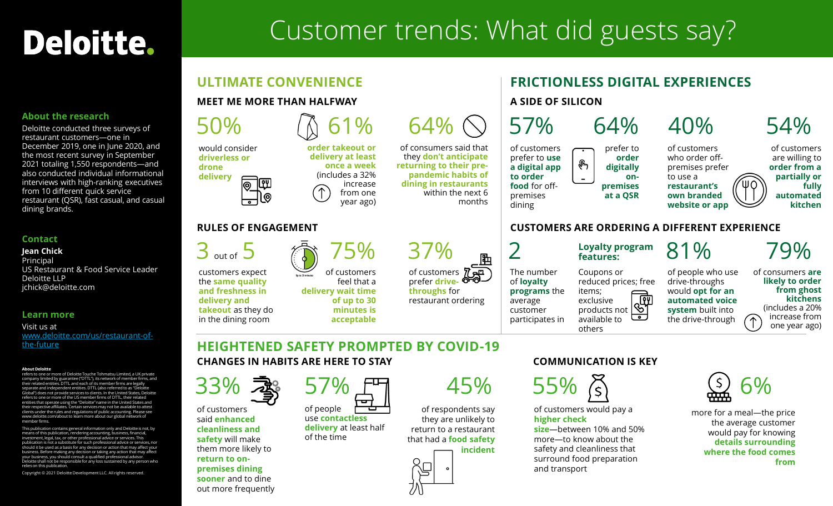# Deloitte.

# Customer trends: What did guests say?

#### **About the research**

Deloitte conducted three surveys of restaurant customers—one in December 2019, one in June 2020, and the most recent survey in September 2021 totaling 1,550 respondents—and also conducted individual informational interviews with high-ranking executives from 10 different quick service restaurant (QSR), fast casual, and casual dining brands.

#### **Contact**

**Jean Chick** Principal US Restaurant & Food Service Leader Deloitte LLP jchick@deloitte.com

#### **Learn more**

Visit us at [www.deloitte.com/us/restaurant-of](http://www.deloitte.com/us/restaurant-of-the-future)the-future

#### **About Deloitte**

refers to one or more of Deloitte Touche Tohmatsu Limited, a UK private company limited by guarantee ("DTTL"), its network of member firms, and their related entities. DTTL and each of its member firms are legally separate and independent entities. DTTL (also referred to as "Deloitte Global") does not provide services to clients. In the United States, Deloitte refers to one or more of the US member firms of DTTL, their related entities that operate using the "Deloitte" name in the United States and<br>their respective affiliates. Certain services may not be available to attest<br>clients under the rules and regulations of public accounting. Please see member firms.

This publication contains general information only and Deloitte is not, by means of this publication, rendering accounting, business, financial, investment, legal, tax, or other professional advice or services. This<br>publication is not a substitute for such professional advice or services, nor<br>should it be used as a basis for any decision or action that may affect y business. Before making any decision or taking any action that may affect your business, you should consult a qualified professional advisor. Deloitte shall not be responsible for any loss sustained by any person who relies on this publication

Copyright © 2021 Deloitte Development LLC. All rights reserved.

## **ULTIMATE CONVENIENCE**

#### **MEET ME MORE THAN HALFWAY**



of customers prefer **drivethroughs** for restaurant ordering

#### **FRICTIONLESS DIGITAL EXPERIENCES A SIDE OF SILICON** 64% 40% 54% of customers prefer to **order**  who order off-ᡧᢇᢆᡃ **order from a digitally** premises prefer to use a **onpremises restaurant's at a QSR own branded website or app**

#### **CUSTOMERS ARE ORDERING A DIFFERENT EXPERIENCE**

The number of **loyalty programs** the average customer participates in

Loyalty program  $81\%$ 

reduced prices; free

drive-throughs would **opt for an automated voice system** built into the drive-through

of consumers **are likely to order from ghost kitchens** (includes a 20% increase from

79%

one year ago)

of customers are willing to

**partially or fully automated kitchen**

### **HEIGHTENED SAFETY PROMPTED BY COVID-19 CHANGES IN HABITS ARE HERE TO STAY**

of customers feel that a

> **of up to 30 minutes is acceptable**

**delivery wait time** 



customers expect the **same quality and freshness in delivery and takeout** as they do in the dining room

of customers said **enhanced cleanliness and safety** will make them more likely to **return to onpremises dining sooner** and to dine out more frequently



of people use **contactless delivery** at least half of the time

## 57% 45%

of respondents say they are unlikely to return to a restaurant that had a **food safety incident**



### **COMMUNICATION IS KEY**

Coupons or

items; exclusive products not available to others

 $55\%$  (s) 6%

of customers would pay a **higher check** 

**size**—between 10% and 50% more—to know about the safety and cleanliness that surround food preparation and transport



more for a meal—the price the average customer would pay for knowing **details surrounding where the food comes from**